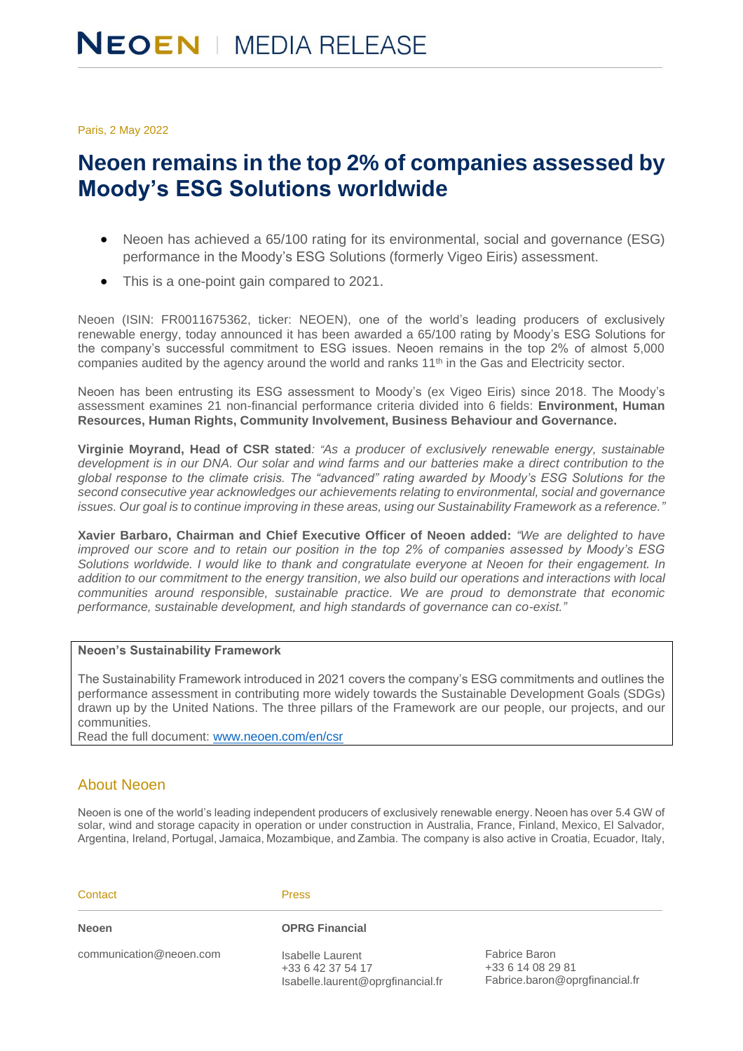Paris, 2 May 2022

# **Neoen remains in the top 2% of companies assessed by Moody's ESG Solutions worldwide**

- Neoen has achieved a 65/100 rating for its environmental, social and governance (ESG) performance in the Moody's ESG Solutions (formerly Vigeo Eiris) assessment.
- This is a one-point gain compared to 2021.

Neoen (ISIN: FR0011675362, ticker: NEOEN), one of the world's leading producers of exclusively renewable energy, today announced it has been awarded a 65/100 rating by Moody's ESG Solutions for the company's successful commitment to ESG issues. Neoen remains in the top 2% of almost 5,000 companies audited by the agency around the world and ranks  $11<sup>th</sup>$  in the Gas and Electricity sector.

Neoen has been entrusting its ESG assessment to Moody's (ex Vigeo Eiris) since 2018. The Moody's assessment examines 21 non-financial performance criteria divided into 6 fields: **Environment, Human Resources, Human Rights, Community Involvement, Business Behaviour and Governance.**

**Virginie Moyrand, Head of CSR stated***: "As a producer of exclusively renewable energy, sustainable development is in our DNA. Our solar and wind farms and our batteries make a direct contribution to the global response to the climate crisis. The "advanced" rating awarded by Moody's ESG Solutions for the second consecutive year acknowledges our achievements relating to environmental, social and governance issues. Our goal is to continue improving in these areas, using our Sustainability Framework as a reference."* 

**Xavier Barbaro, Chairman and Chief Executive Officer of Neoen added:** *"We are delighted to have improved our score and to retain our position in the top 2% of companies assessed by Moody's ESG Solutions worldwide. I would like to thank and congratulate everyone at Neoen for their engagement. In addition to our commitment to the energy transition, we also build our operations and interactions with local communities around responsible, sustainable practice. We are proud to demonstrate that economic performance, sustainable development, and high standards of governance can co-exist."*

## **Neoen's Sustainability Framework**

The Sustainability Framework introduced in 2021 covers the company's ESG commitments and outlines the performance assessment in contributing more widely towards the Sustainable Development Goals (SDGs) drawn up by the United Nations. The three pillars of the Framework are our people, our projects, and our communities.

Read the full document: [www.neoen.com/en/csr](http://www.neoen.com/en/csr)

# About Neoen

Neoen is one of the world's leading independent producers of exclusively renewable energy. Neoen has over 5.4 GW of solar, wind and storage capacity in operation or under construction in Australia, France, Finland, Mexico, El Salvador, Argentina, Ireland, Portugal, Jamaica, Mozambique, and Zambia. The company is also active in Croatia, Ecuador, Italy,

| Contact                 | <b>Press</b>                                                               |                                                                      |
|-------------------------|----------------------------------------------------------------------------|----------------------------------------------------------------------|
| <b>Neoen</b>            | <b>OPRG Financial</b>                                                      |                                                                      |
| communication@neoen.com | Isabelle Laurent<br>+33 6 42 37 54 17<br>Isabelle.laurent@oprgfinancial.fr | Fabrice Baron<br>+33 6 14 08 29 81<br>Fabrice.baron@oprgfinancial.fr |